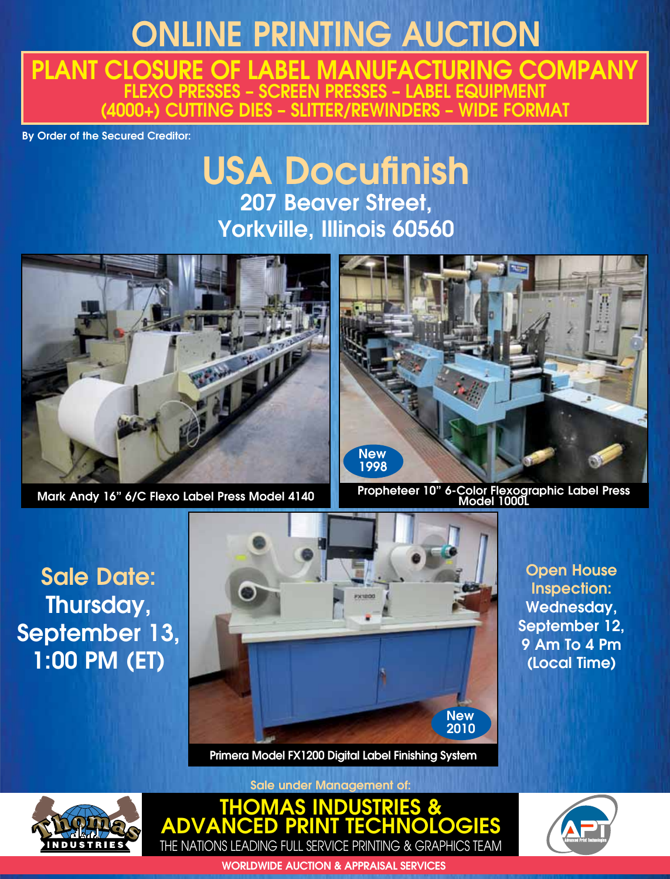# ONLINE PRINTING AUCTION

PLANT CLOSURE OF LABEL MANUFACTURING COMPANY FLEXO PRESSES – SCREEN PRESSES – LABEL EQUIPMENT (4000+) CUTTING DIES – SLITTER/REWINDERS – WIDE FORMAT

By Order of the Secured Creditor:

# USA Docufinish 207 Beaver Street, Yorkville, Illinois 60560



Mark Andy 16" 6/C Flexo Label Press Model 4140



Propheteer 10" 6-Color Flexographic Label Press Model 1000L

Sale Date: Thursday, September 13, 1:00 PM (ET)



Primera Model FX1200 Digital Label Finishing System

Open House Inspection: Wednesday, September 12, 9 Am To 4 Pm (Local Time)



Sale under Management of:





WORLDWIDE AUCTION & APPRAISAL SERVICES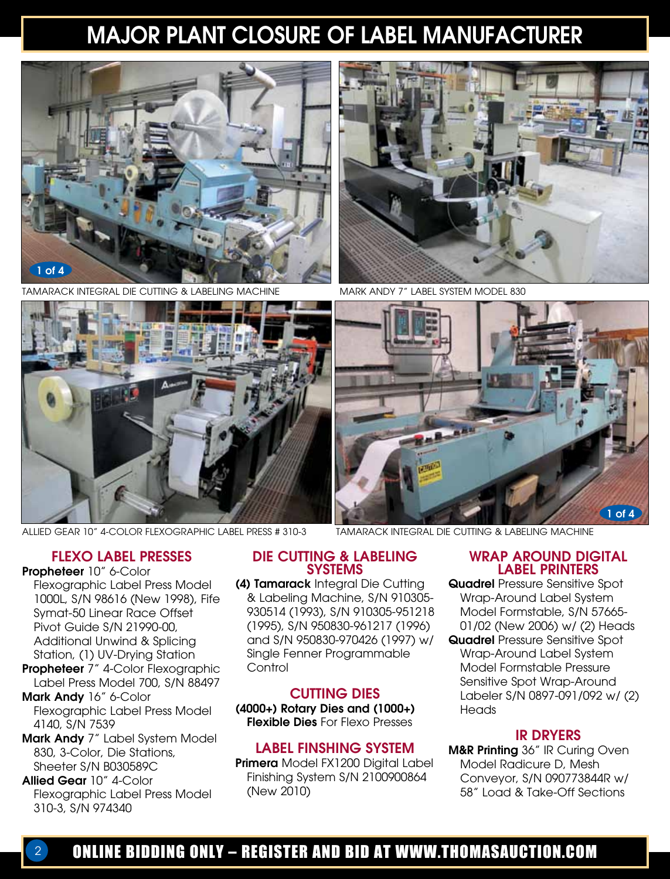# MAJOR PLANT CLOSURE OF LABEL MANUFACTURER



TAMARACK INTEGRAL DIE CUTTING & LABELING MACHINE MARK ANDY 7" LABEL SYSTEM MODEL 830





Allied Gear 10" 4-Color Flexographic Label Press # 310-3



Tamarack Integral Die Cutting & Labeling Machine

#### FLEXO LABEL PRESSES

Propheteer 10" 6-Color Flexographic Label Press Model 1000L, S/N 98616 (New 1998), Fife Symat-50 Linear Race Offset Pivot Guide S/N 21990-00, Additional Unwind & Splicing Station, (1) UV-Drying Station

- Propheteer 7" 4-Color Flexographic Label Press Model 700, S/N 88497
- Mark Andy 16" 6-Color Flexographic Label Press Model 4140, S/N 7539
- Mark Andy 7" Label System Model 830, 3-Color, Die Stations, Sheeter S/N B030589C
- Allied Gear 10" 4-Color Flexographic Label Press Model 310-3, S/N 974340

#### DIE CUTTING & LABELING SYSTEMS

(4) Tamarack Integral Die Cutting & Labeling Machine, S/N 910305- 930514 (1993), S/N 910305-951218 (1995), S/N 950830-961217 (1996) and S/N 950830-970426 (1997) w/ Single Fenner Programmable **Control** 

#### CUTTING DIES

(4000+) Rotary Dies and (1000+) Flexible Dies For Flexo Presses

#### LABEL FINSHING SYSTEM

Primera Model FX1200 Digital Label Finishing System S/N 2100900864 (New 2010)

#### WRAP AROUND DIGITAL LABEL PRINTERS

Quadrel Pressure Sensitive Spot Wrap-Around Label System Model Formstable, S/N 57665- 01/02 (New 2006) w/ (2) Heads

**Quadrel Pressure Sensitive Spot** Wrap-Around Label System Model Formstable Pressure Sensitive Spot Wrap-Around Labeler S/N 0897-091/092 w/ (2) **Heads** 

#### IR DRYERS

M&R Printing 36" IR Curing Oven Model Radicure D, Mesh Conveyor, S/N 090773844R w/ 58" Load & Take-Off Sections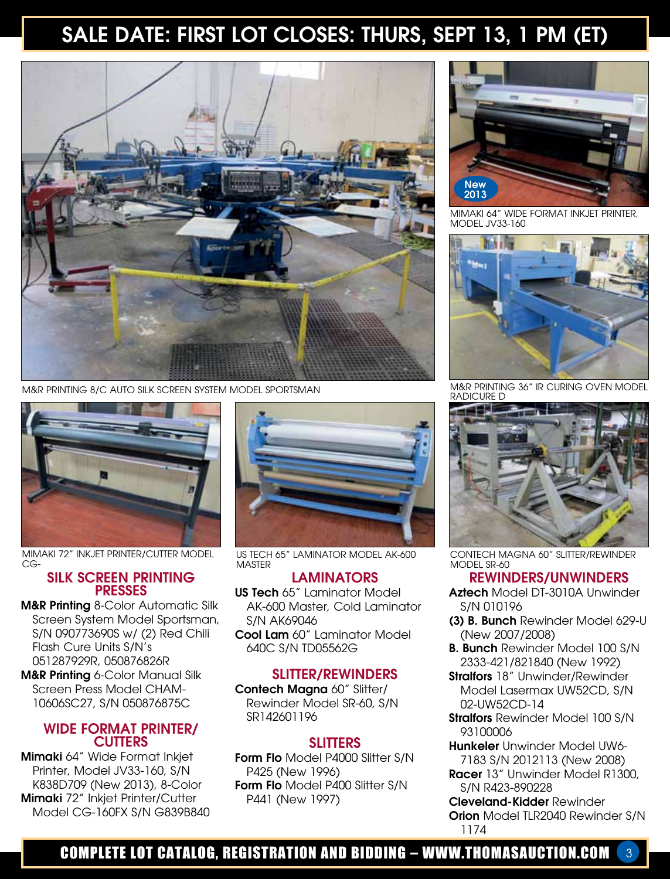# SALE DATE: FIRST LOT CLOSES: THURS, SEPT 13, 1 PM (ET)



M&R Printing 8/C Auto Silk Screen System Model Sportsman



Mimaki 72" Inkjet Printer/Cutter Model CG-

#### SILK SCREEN PRINTING PRESSES

M&R Printing 8-Color Automatic Silk Screen System Model Sportsman, S/N 090773690S w/ (2) Red Chili Flash Cure Units S/N's 051287929R, 050876826R **M&R Printing 6-Color Manual Silk** 

Screen Press Model CHAM-10606SC27, S/N 050876875C

#### WIDE FORMAT PRINTER/ **CUTTERS**

Mimaki 64" Wide Format Inkjet Printer, Model JV33-160, S/N K838D709 (New 2013), 8-Color Mimaki 72" Inkjet Printer/Cutter Model CG-160FX S/N G839B840



US Tech 65" Laminator Model AK-600 **MASTER** 

#### LAMINATORS

US Tech 65" Laminator Model AK-600 Master, Cold Laminator S/N AK69046

Cool Lam 60" Laminator Model 640C S/N TD05562G

#### SLITTER/REWINDERS

Contech Magna 60" Slitter/ Rewinder Model SR-60, S/N SR142601196

#### **SLITTERS**

Form Flo Model P4000 Slitter S/N P425 (New 1996) Form Flo Model P400 Slitter S/N P441 (New 1997)



Mimaki 64" Wide Format Inkjet Printer, Model JV33-160



M&R Printing 36" IR Curing Oven Model Radicure D



Contech Magna 60" Slitter/Rewinder MODEL SR-60

#### REWINDERS/UNWINDERS

- Aztech Model DT-3010A Unwinder S/N 010196
- (3) B. Bunch Rewinder Model 629-U (New 2007/2008)
- B. Bunch Rewinder Model 100 S/N 2333-421/821840 (New 1992)
- **Stralfors** 18" Unwinder/Rewinder Model Lasermax UW52CD, S/N 02-UW52CD-14
- Stralfors Rewinder Model 100 S/N 93100006
- Hunkeler Unwinder Model UW6- 7183 S/N 2012113 (New 2008)
- Racer 13" Unwinder Model R1300, S/N R423-890228

Cleveland-Kidder Rewinder Orion Model TLR2040 Rewinder S/N 1174

## COMPLETE LOT CATALOG, REGISTRATION AND BIDDING – WWW.THOMASAUCTION.COM 3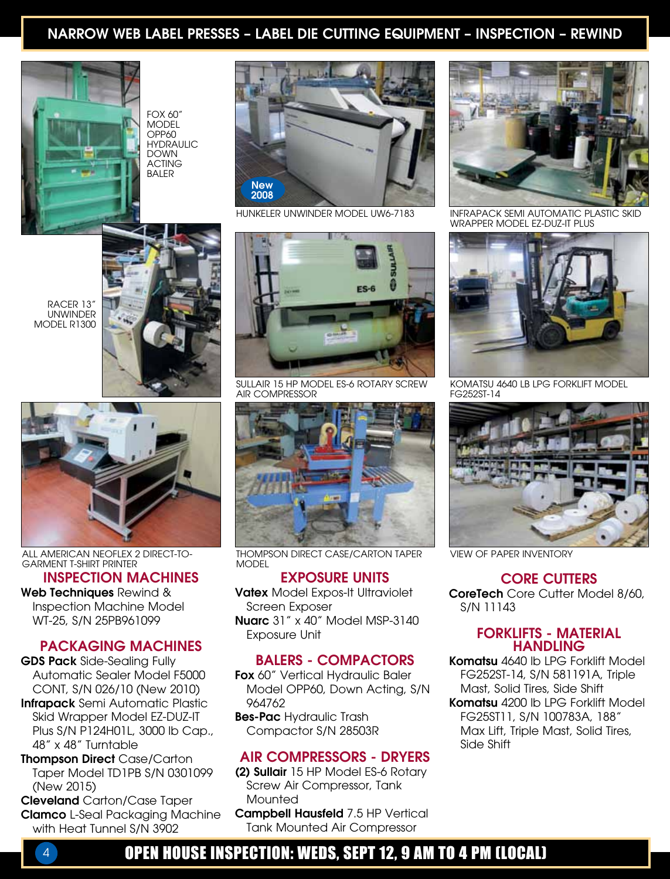### NARROW WEB LABEL PRESSES – LABEL DIE CUTTING EQUIPMENT – INSPECTION – REWIND



Fox 60" **MODEL** OPP60 **HYDRAULIC** Down **ACTING** Baler



Hunkeler Unwinder Model UW6-7183





Garment T-Shirt Printer

INSPECTION MACHINES

Web Techniques Rewind & Inspection Machine Model WT-25, S/N 25PB961099

#### PACKAGING MACHINES

GDS Pack Side-Sealing Fully Automatic Sealer Model F5000 CONT, S/N 026/10 (New 2010)

Infrapack Semi Automatic Plastic Skid Wrapper Model EZ-DUZ-IT Plus S/N P124H01L, 3000 lb Cap., 48" x 48" Turntable

Thompson Direct Case/Carton Taper Model TD1PB S/N 0301099 (New 2015)

Cleveland Carton/Case Taper Clamco L-Seal Packaging Machine with Heat Tunnel S/N 3902



Sullair 15 HP Model ES-6 Rotary Screw Air Compressor



ALL AMERICAN NEOFLEX 2 DIRECT-TO- THOMPSON DIRECT CASE/CARTON TAPER VIEW OF PAPER INVENTORY **MODEL** 

#### EXPOSURE UNITS

Vatex Model Expos-It Ultraviolet Screen Exposer Nuarc 31" x 40" Model MSP-3140 Exposure Unit

#### BALERS - COMPACTORS

Fox 60" Vertical Hydraulic Baler Model OPP60, Down Acting, S/N 964762

Bes-Pac Hydraulic Trash Compactor S/N 28503R

#### AIR COMPRESSORS - DRYERS

- (2) Sullair 15 HP Model ES-6 Rotary Screw Air Compressor, Tank **Mounted**
- Campbell Hausfeld 7.5 HP Vertical Tank Mounted Air Compressor



Infrapack Semi Automatic Plastic Skid Wrapper Model EZ-DUZ-IT Plus



Komatsu 4640 lb LPG Forklift Model FG252ST-14



#### CORE CUTTERS

CoreTech Core Cutter Model 8/60, S/N 11143

#### FORKLIFTS - MATERIAL **HANDLING**

Komatsu 4640 lb LPG Forklift Model FG252ST-14, S/N 581191A, Triple Mast, Solid Tires, Side Shift Komatsu 4200 lb LPG Forklift Model FG25ST11, S/N 100783A, 188" Max Lift, Triple Mast, Solid Tires, Side Shift

### 4 OPEN HOUSE INSPECTION: WEDS, SEPT 12, 9 AM TO 4 PM (LOCAL)

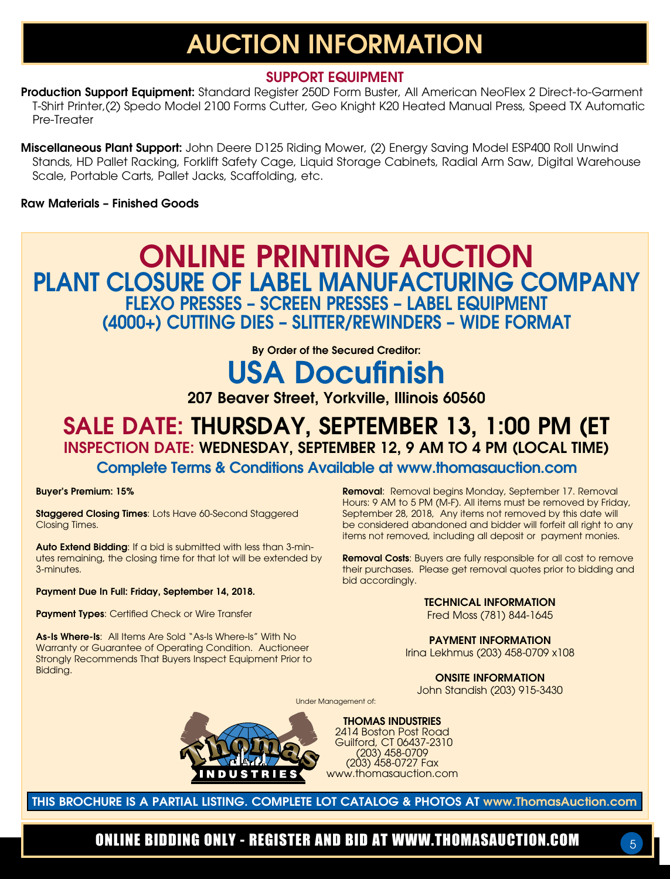# AUCTION INFORMATION

### SUPPORT EQUIPMENT

Production Support Equipment: Standard Register 250D Form Buster, All American NeoFlex 2 Direct-to-Garment T-Shirt Printer,(2) Spedo Model 2100 Forms Cutter, Geo Knight K20 Heated Manual Press, Speed TX Automatic Pre-Treater

Miscellaneous Plant Support: John Deere D125 Riding Mower, (2) Energy Saving Model ESP400 Roll Unwind Stands, HD Pallet Racking, Forklift Safety Cage, Liquid Storage Cabinets, Radial Arm Saw, Digital Warehouse Scale, Portable Carts, Pallet Jacks, Scaffolding, etc.

#### Raw Materials – Finished Goods

## ONLINE PRINTING AUCTION PLANT CLOSURE OF LABEL MANUFACTURING COMPANY FLEXO PRESSES – SCREEN PRESSES – LABEL EQUIPMENT (4000+) CUTTING DIES – SLITTER/REWINDERS – WIDE FORMAT

By Order of the Secured Creditor: USA Docufinish

### 207 Beaver Street, Yorkville, Illinois 60560

## SALE Date: THURSDAY, SEPTEMBER 13, 1:00 PM (ET INSPECTION DATE: Wednesday, SEPTEMBER 12, 9 AM TO 4 PM (local time)

Complete Terms & Conditions Available at www.thomasauction.com

#### Buyer's Premium: 15%

Staggered Closing Times: Lots Have 60-Second Staggered Closing Times.

Auto Extend Bidding: If a bid is submitted with less than 3-minutes remaining, the closing time for that lot will be extended by 3-minutes.

Payment Due In Full: Friday, September 14, 2018.

Payment Types: Certified Check or Wire Transfer

As-Is Where-Is: All Items Are Sold "As-Is Where-Is" With No Warranty or Guarantee of Operating Condition. Auctioneer Strongly Recommends That Buyers Inspect Equipment Prior to Bidding.

Removal: Removal begins Monday, September 17. Removal Hours: 9 AM to 5 PM (M-F). All items must be removed by Friday, September 28, 2018, Any items not removed by this date will be considered abandoned and bidder will forfeit all right to any items not removed, including all deposit or payment monies.

Removal Costs: Buyers are fully responsible for all cost to remove their purchases. Please get removal quotes prior to bidding and bid accordingly.

#### TECHNICAL INFORMATION

Fred Moss (781) 844-1645

PAYMENT INFORMATION Irina Lekhmus (203) 458-0709 x108

ONSITE INFORMATION

5

John Standish (203) 915-3430

Under Management of:



THOMAS INDUSTRIES 2414 Boston Post Road Guilford, CT 06437-2310 (203) 458-0709 (203) 458-0727 Fax www.thomasauction.com

THIS BROCHURE IS A PARTIAL LISTING. COMPLETE LOT CATALOG & PHOTOS AT www.ThomasAuction.com

ONLINE BIDDING ONLY - REGISTER AND BID AT WWW.THOMASAUCTION.COM